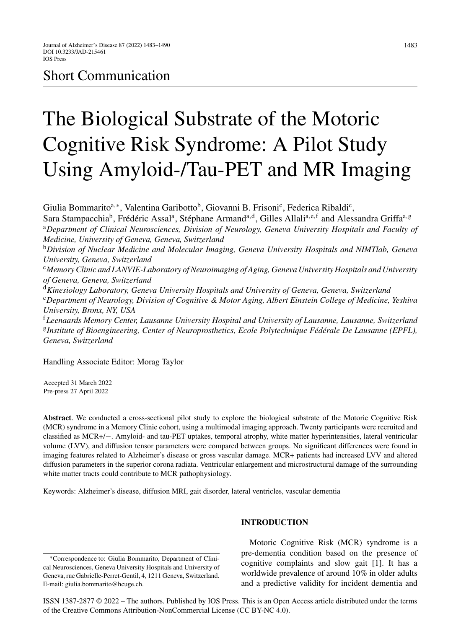## Short Communication

# The Biological Substrate of the Motoric Cognitive Risk Syndrome: A Pilot Study Using Amyloid-/Tau-PET and MR Imaging

Giulia Bommarito<sup>a,∗</sup>, Valentina Garibotto<sup>b</sup>, Giovanni B. Frisoni<sup>c</sup>, Federica Ribaldi<sup>c</sup>, Sara Stampacchia<sup>b</sup>, Frédéric Assal<sup>a</sup>, Stéphane Armand<sup>a,d</sup>, Gilles Allali<sup>a,e,f</sup> and Alessandra Griffa<sup>a,g</sup> <sup>a</sup>*Department of Clinical Neurosciences, Division of Neurology, Geneva University Hospitals and Faculty of Medicine, University of Geneva, Geneva, Switzerland* <sup>b</sup>*Division of Nuclear Medicine and Molecular Imaging, Geneva University Hospitals and NIMTlab, Geneva University, Geneva, Switzerland* <sup>c</sup>*Memory Clinic and LANVIE-Laboratory of Neuroimaging of Aging, Geneva University Hospitals and University of Geneva, Geneva, Switzerland* <sup>d</sup>*Kinesiology Laboratory, Geneva University Hospitals and University of Geneva, Geneva, Switzerland* <sup>e</sup>*Department of Neurology, Division of Cognitive & Motor Aging, Albert Einstein College of Medicine, Yeshiva University, Bronx, NY, USA*

<sup>f</sup>*Leenaards Memory Center, Lausanne University Hospital and University of Lausanne, Lausanne, Switzerland* <sup>g</sup>*Institute of Bioengineering, Center of Neuroprosthetics, Ecole Polytechnique F´ed´erale De Lausanne (EPFL), Geneva, Switzerland*

Handling Associate Editor: Morag Taylor

Accepted 31 March 2022 Pre-press 27 April 2022

**Abstract**. We conducted a cross-sectional pilot study to explore the biological substrate of the Motoric Cognitive Risk (MCR) syndrome in a Memory Clinic cohort, using a multimodal imaging approach. Twenty participants were recruited and classified as MCR+/−. Amyloid- and tau-PET uptakes, temporal atrophy, white matter hyperintensities, lateral ventricular volume (LVV), and diffusion tensor parameters were compared between groups. No significant differences were found in imaging features related to Alzheimer's disease or gross vascular damage. MCR+ patients had increased LVV and altered diffusion parameters in the superior corona radiata. Ventricular enlargement and microstructural damage of the surrounding white matter tracts could contribute to MCR pathophysiology.

Keywords: Alzheimer's disease, diffusion MRI, gait disorder, lateral ventricles, vascular dementia

### **INTRODUCTION**

∗Correspondence to: Giulia Bommarito, Department of Clinical Neurosciences, Geneva University Hospitals and University of Geneva, rue Gabrielle-Perret-Gentil, 4, 1211 Geneva, Switzerland. E-mail: [giulia.bommarito@hcuge.ch.](mailto:giulia.bommarito@hcuge.ch)

Motoric Cognitive Risk (MCR) syndrome is a pre-dementia condition based on the presence of cognitive complaints and slow gait [1]. It has a worldwide prevalence of around 10% in older adults and a predictive validity for incident dementia and

1483

ISSN 1387-2877 © 2022 – The authors. Published by IOS Press. This is an Open Access article distributed under the terms of the [Creative Commons Attribution-NonCommercial License \(CC BY-NC 4.0\).](https://creativecommons.org/licenses/by-nc/4.0/)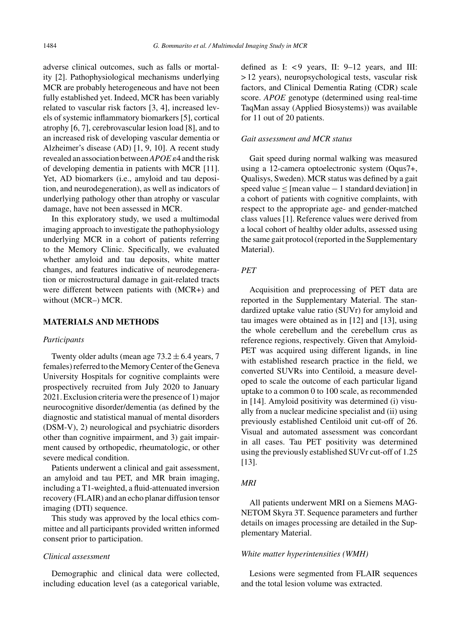adverse clinical outcomes, such as falls or mortality [2]. Pathophysiological mechanisms underlying MCR are probably heterogeneous and have not been fully established yet. Indeed, MCR has been variably related to vascular risk factors [3, 4], increased levels of systemic inflammatory biomarkers [5], cortical atrophy [6, 7], cerebrovascular lesion load [8], and to an increased risk of developing vascular dementia or Alzheimer's disease (AD) [1, 9, 10]. A recent study revealed an association between*APOE*-4 and the risk of developing dementia in patients with MCR [11]. Yet, AD biomarkers (i.e., amyloid and tau deposition, and neurodegeneration), as well as indicators of underlying pathology other than atrophy or vascular damage, have not been assessed in MCR.

In this exploratory study, we used a multimodal imaging approach to investigate the pathophysiology underlying MCR in a cohort of patients referring to the Memory Clinic. Specifically, we evaluated whether amyloid and tau deposits, white matter changes, and features indicative of neurodegeneration or microstructural damage in gait-related tracts were different between patients with (MCR+) and without (MCR–) MCR.

#### **MATERIALS AND METHODS**

#### *Participants*

Twenty older adults (mean age  $73.2 \pm 6.4$  years, 7 females) referred to the Memory Center of the Geneva University Hospitals for cognitive complaints were prospectively recruited from July 2020 to January 2021. Exclusion criteria were the presence of 1) major neurocognitive disorder/dementia (as defined by the diagnostic and statistical manual of mental disorders (DSM-V), 2) neurological and psychiatric disorders other than cognitive impairment, and 3) gait impairment caused by orthopedic, rheumatologic, or other severe medical condition.

Patients underwent a clinical and gait assessment, an amyloid and tau PET, and MR brain imaging, including a T1-weighted, a fluid-attenuated inversion recovery (FLAIR) and an echo planar diffusion tensor imaging (DTI) sequence.

This study was approved by the local ethics committee and all participants provided written informed consent prior to participation.

#### *Clinical assessment*

Demographic and clinical data were collected, including education level (as a categorical variable,

defined as I:  $<$  9 years, II: 9-12 years, and III: > 12 years), neuropsychological tests, vascular risk factors, and Clinical Dementia Rating (CDR) scale score. *APOE* genotype (determined using real-time TaqMan assay (Applied Biosystems)) was available for 11 out of 20 patients.

#### *Gait assessment and MCR status*

Gait speed during normal walking was measured using a 12-camera optoelectronic system (Oqus7+, Qualisys, Sweden). MCR status was defined by a gait speed value ≤ [mean value − 1 standard deviation] in a cohort of patients with cognitive complaints, with respect to the appropriate age- and gender-matched class values [1]. Reference values were derived from a local cohort of healthy older adults, assessed using the same gait protocol (reported in the Supplementary Material).

#### *PET*

Acquisition and preprocessing of PET data are reported in the Supplementary Material. The standardized uptake value ratio (SUVr) for amyloid and tau images were obtained as in [12] and [13], using the whole cerebellum and the cerebellum crus as reference regions, respectively. Given that Amyloid-PET was acquired using different ligands, in line with established research practice in the field, we converted SUVRs into Centiloid, a measure developed to scale the outcome of each particular ligand uptake to a common 0 to 100 scale, as recommended in [14]. Amyloid positivity was determined (i) visually from a nuclear medicine specialist and (ii) using previously established Centiloid unit cut-off of 26. Visual and automated assessment was concordant in all cases. Tau PET positivity was determined using the previously established SUVr cut-off of 1.25 [13].

#### *MRI*

All patients underwent MRI on a Siemens MAG-NETOM Skyra 3T. Sequence parameters and further details on images processing are detailed in the Supplementary Material.

#### *White matter hyperintensities (WMH)*

Lesions were segmented from FLAIR sequences and the total lesion volume was extracted.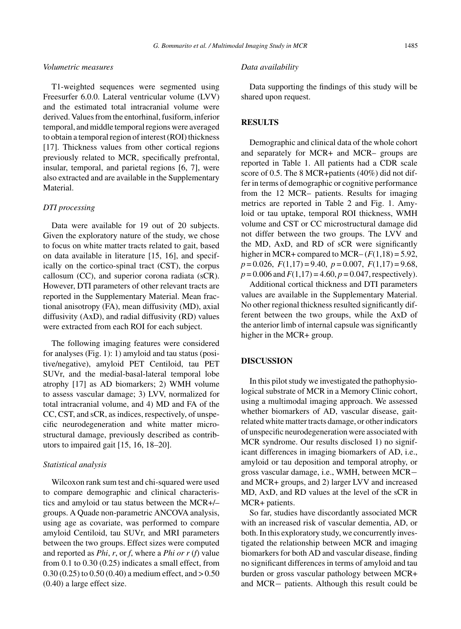#### *G. Bommarito et al. / Multimodal Imaging Study in MCR* 1485

#### *Volumetric measures*

T1-weighted sequences were segmented using Freesurfer 6.0.0. Lateral ventricular volume (LVV) and the estimated total intracranial volume were derived. Values from the entorhinal, fusiform, inferior temporal, and middle temporal regions were averaged to obtain a temporal region of interest (ROI) thickness [17]. Thickness values from other cortical regions previously related to MCR, specifically prefrontal, insular, temporal, and parietal regions [6, 7], were also extracted and are available in the Supplementary Material.

#### *DTI processing*

Data were available for 19 out of 20 subjects. Given the exploratory nature of the study, we chose to focus on white matter tracts related to gait, based on data available in literature [15, 16], and specifically on the cortico-spinal tract (CST), the corpus callosum (CC), and superior corona radiata (sCR). However, DTI parameters of other relevant tracts are reported in the Supplementary Material. Mean fractional anisotropy (FA), mean diffusivity (MD), axial diffusivity (AxD), and radial diffusivity (RD) values were extracted from each ROI for each subject.

The following imaging features were considered for analyses (Fig. 1): 1) amyloid and tau status (positive/negative), amyloid PET Centiloid, tau PET SUVr, and the medial-basal-lateral temporal lobe atrophy [17] as AD biomarkers; 2) WMH volume to assess vascular damage; 3) LVV, normalized for total intracranial volume, and 4) MD and FA of the CC, CST, and sCR, as indices, respectively, of unspecific neurodegeneration and white matter microstructural damage, previously described as contributors to impaired gait [15, 16, 18–20].

#### *Statistical analysis*

Wilcoxon rank sum test and chi-squared were used to compare demographic and clinical characteristics and amyloid or tau status between the MCR+/– groups. A Quade non-parametric ANCOVA analysis, using age as covariate, was performed to compare amyloid Centiloid, tau SUVr, and MRI parameters between the two groups. Effect sizes were computed and reported as *Phi*, *r*, or *f*, where a *Phi or r* (*f*) value from 0.1 to 0.30 (0.25) indicates a small effect, from  $0.30(0.25)$  to  $0.50(0.40)$  a medium effect, and  $> 0.50$ (0.40) a large effect size.

#### *Data availability*

Data supporting the findings of this study will be shared upon request.

#### **RESULTS**

Demographic and clinical data of the whole cohort and separately for MCR+ and MCR– groups are reported in Table 1. All patients had a CDR scale score of 0.5. The 8 MCR+patients (40%) did not differ in terms of demographic or cognitive performance from the 12 MCR– patients. Results for imaging metrics are reported in Table 2 and Fig. 1. Amyloid or tau uptake, temporal ROI thickness, WMH volume and CST or CC microstructural damage did not differ between the two groups. The LVV and the MD, AxD, and RD of sCR were significantly higher in MCR+ compared to MCR– $(F(1,18) = 5.92)$ , *p* = 0.026, *F*(1,17) = 9.40, *p* = 0.007, *F*(1,17) = 9.68,  $p = 0.006$  and  $F(1,17) = 4.60$ ,  $p = 0.047$ , respectively).

Additional cortical thickness and DTI parameters values are available in the Supplementary Material. No other regional thickness resulted significantly different between the two groups, while the AxD of the anterior limb of internal capsule was significantly higher in the MCR+ group.

#### **DISCUSSION**

In this pilot study we investigated the pathophysiological substrate of MCR in a Memory Clinic cohort, using a multimodal imaging approach. We assessed whether biomarkers of AD, vascular disease, gaitrelated white matter tracts damage, or other indicators of unspecific neurodegeneration were associated with MCR syndrome. Our results disclosed 1) no significant differences in imaging biomarkers of AD, i.e., amyloid or tau deposition and temporal atrophy, or gross vascular damage, i.e., WMH, between MCR− and MCR+ groups, and 2) larger LVV and increased MD, AxD, and RD values at the level of the sCR in MCR+ patients.

So far, studies have discordantly associated MCR with an increased risk of vascular dementia, AD, or both. In this exploratory study, we concurrently investigated the relationship between MCR and imaging biomarkers for both AD and vascular disease, finding no significant differences in terms of amyloid and tau burden or gross vascular pathology between MCR+ and MCR− patients. Although this result could be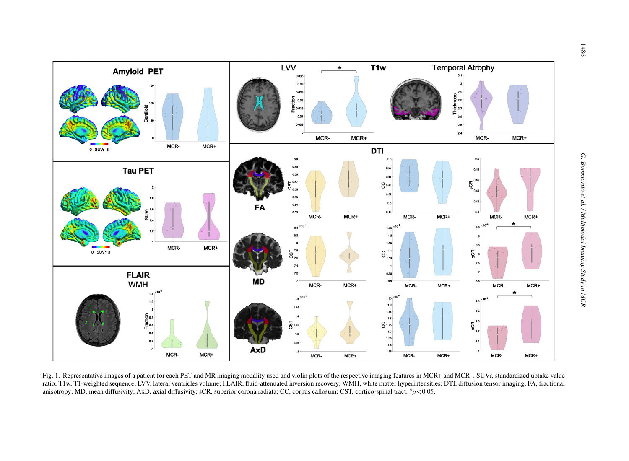

Fig. 1. Representative images of a patient for each PET and MR imaging modality used and violin plots of the respective imaging features in MCR+ and MCR-. SUVr, standardized uptake value ratio; T1w, T1-weighted sequence; LVV, lateral ventricles volume; FLAIR, fluid-attenuated inversion recovery; WMH, white matter hyperintensities; DTI, diffusion tensor imaging; FA, fractional anisotropy; MD, mean diffusivity; AxD, axial diffusivity; sCR, superior corona radiata; CC, corpus callosum; CST, cortico-spinal tract. <sup>∗</sup>*<sup>p</sup>* <sup>&</sup>lt; 0.05.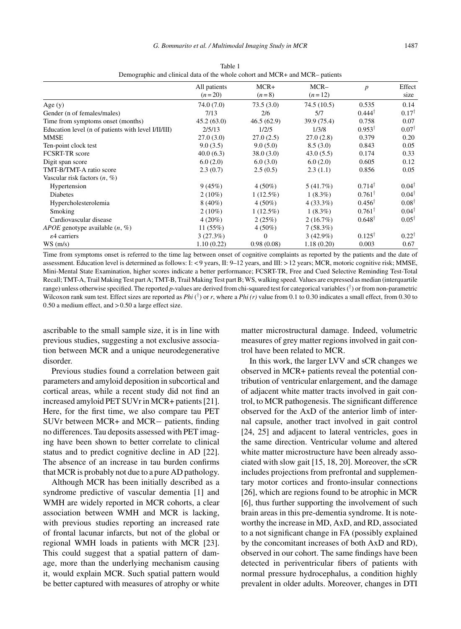|                                                     | All patients | MCR+         | $MCR-$      | $\boldsymbol{p}$  | Effect           |
|-----------------------------------------------------|--------------|--------------|-------------|-------------------|------------------|
|                                                     | $(n=20)$     | $(n=8)$      | $(n=12)$    |                   | size             |
| Age $(y)$                                           | 74.0 (7.0)   | 73.5(3.0)    | 74.5(10.5)  | 0.535             | 0.14             |
| Gender (n of females/males)                         | 7/13         | 2/6          | 5/7         | $0.444^{\dagger}$ | $0.17^{\dagger}$ |
| Time from symptoms onset (months)                   | 45.2(63.0)   | 46.5(62.9)   | 39.9 (75.4) | 0.758             | 0.07             |
| Education level (n of patients with level I/II/III) | 2/5/13       | 1/2/5        | 1/3/8       | $0.953^{\dagger}$ | $0.07^{\dagger}$ |
| MMSE                                                | 27.0(3.0)    | 27.0(2.5)    | 27.0(2.8)   | 0.379             | 0.20             |
| Ten-point clock test                                | 9.0(3.5)     | 9.0(5.0)     | 8.5(3.0)    | 0.843             | 0.05             |
| <b>FCSRT-TR</b> score                               | 40.0(6.3)    | 38.0(3.0)    | 43.0(5.5)   | 0.174             | 0.33             |
| Digit span score                                    | 6.0(2.0)     | 6.0(3.0)     | 6.0(2.0)    | 0.605             | 0.12             |
| TMT-B/TMT-A ratio score                             | 2.3(0.7)     | 2.5(0.5)     | 2.3(1.1)    | 0.856             | 0.05             |
| Vascular risk factors $(n, \%)$                     |              |              |             |                   |                  |
| Hypertension                                        | 9(45%)       | $4(50\%)$    | 5(41.7%)    | $0.714^{\dagger}$ | $0.04^{\dagger}$ |
| Diabetes                                            | $2(10\%)$    | $1(12.5\%)$  | $1(8.3\%)$  | $0.761^{\dagger}$ | $0.04^{\dagger}$ |
| Hypercholesterolemia                                | $8(40\%)$    | $4(50\%)$    | $4(33.3\%)$ | $0.456^{\dagger}$ | $0.08^{\dagger}$ |
| Smoking                                             | $2(10\%)$    | $1(12.5\%)$  | $1(8.3\%)$  | $0.761^{\dagger}$ | $0.04^{\dagger}$ |
| Cardiovascular disease                              | $4(20\%)$    | 2(25%)       | 2(16.7%)    | $0.648^{\dagger}$ | $0.05^{\dagger}$ |
| <i>APOE</i> genotype available $(n, %)$             | 11(55%)      | $4(50\%)$    | 7(58.3%)    |                   |                  |
| ε4 carriers                                         | 3(27.3%)     | $\mathbf{0}$ | $3(42.9\%)$ | $0.125^{\dagger}$ | $0.22^{\dagger}$ |
| WS(m/s)                                             | 1.10(0.22)   | 0.98(0.08)   | 1.18(0.20)  | 0.003             | 0.67             |

Table 1 Demographic and clinical data of the whole cohort and MCR+ and MCR– patients

Time from symptoms onset is referred to the time lag between onset of cognitive complaints as reported by the patients and the date of assessment. Education level is determined as follows: I: < 9 years, II: 9–12 years, and III: > 12 years; MCR, motoric cognitive risk; MMSE, Mini-Mental State Examination, higher scores indicate a better performance; FCSRT-TR, Free and Cued Selective Reminding Test-Total Recall; TMT-A, Trail Making Test part A; TMT-B, Trail Making Test part B; WS, walking speed. Values are expressed as median (interquartile range) unless otherwise specified. The reported *p*-values are derived from chi-squared test for categorical variables  $(†)$  or from non-parametric Wilcoxon rank sum test. Effect sizes are reported as *Phi* ( $\bar{r}$ ) or *r*, where a *Phi* (*r*) value from 0.1 to 0.30 indicates a small effect, from 0.30 to 0.50 a medium effect, and > 0.50 a large effect size.

ascribable to the small sample size, it is in line with previous studies, suggesting a not exclusive association between MCR and a unique neurodegenerative disorder.

Previous studies found a correlation between gait parameters and amyloid deposition in subcortical and cortical areas, while a recent study did not find an increased amyloid PET SUVr in MCR+ patients [21]. Here, for the first time, we also compare tau PET SUVr between MCR+ and MCR− patients, finding no differences. Tau deposits assessed with PET imaging have been shown to better correlate to clinical status and to predict cognitive decline in AD [22]. The absence of an increase in tau burden confirms that MCR is probably not due to a pure AD pathology.

Although MCR has been initially described as a syndrome predictive of vascular dementia [1] and WMH are widely reported in MCR cohorts, a clear association between WMH and MCR is lacking, with previous studies reporting an increased rate of frontal lacunar infarcts, but not of the global or regional WMH loads in patients with MCR [23]. This could suggest that a spatial pattern of damage, more than the underlying mechanism causing it, would explain MCR. Such spatial pattern would be better captured with measures of atrophy or white matter microstructural damage. Indeed, volumetric measures of grey matter regions involved in gait control have been related to MCR.

In this work, the larger LVV and sCR changes we observed in MCR+ patients reveal the potential contribution of ventricular enlargement, and the damage of adjacent white matter tracts involved in gait control, to MCR pathogenesis. The significant difference observed for the AxD of the anterior limb of internal capsule, another tract involved in gait control [24, 25] and adjacent to lateral ventricles, goes in the same direction. Ventricular volume and altered white matter microstructure have been already associated with slow gait [15, 18, 20]. Moreover, the sCR includes projections from prefrontal and supplementary motor cortices and fronto-insular connections [26], which are regions found to be atrophic in MCR [6], thus further supporting the involvement of such brain areas in this pre-dementia syndrome. It is noteworthy the increase in MD, AxD, and RD, associated to a not significant change in FA (possibly explained by the concomitant increases of both AxD and RD), observed in our cohort. The same findings have been detected in periventricular fibers of patients with normal pressure hydrocephalus, a condition highly prevalent in older adults. Moreover, changes in DTI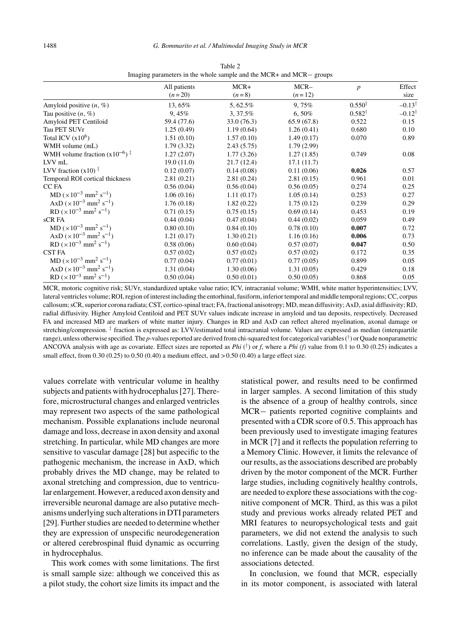| All patients<br>$(n=20)$ | $MCR+$<br>$(n=8)$ | $MCR-$<br>$(n=12)$ | $\boldsymbol{p}$  | Effect<br>size    |
|--------------------------|-------------------|--------------------|-------------------|-------------------|
| 13,65%                   | 5, 62.5%          | 9,75%              | $0.550^{\dagger}$ | $-0.13^{\dagger}$ |
| 9,45%                    | 3, 37.5%          | $6.50\%$           | $0.582^{\dagger}$ | $-0.12^{\dagger}$ |
| 59.4 (77.6)              | 33.0(76.3)        | 65.9(67.8)         | 0.522             | 0.15              |
| 1.25(0.49)               | 1.19(0.64)        | 1.26(0.41)         | 0.680             | 0.10              |
| 1.51(0.10)               | 1.57(0.10)        | 1.49(0.17)         | 0.070             | 0.89              |
| 1.79(3.32)               | 2.43(5.75)        | 1.79(2.99)         |                   |                   |
| 1.27(2.07)               | 1.77(3.26)        | 1.27(1.85)         | 0.749             | 0.08              |
| 19.0(11.0)               | 21.7(12.4)        | 17.1(11.7)         |                   |                   |
| 0.12(0.07)               | 0.14(0.08)        | 0.11(0.06)         | 0.026             | 0.57              |
| 2.81(0.21)               | 2.81(0.24)        | 2.81(0.15)         | 0.961             | 0.01              |
| 0.56(0.04)               | 0.56(0.04)        | 0.56(0.05)         | 0.274             | 0.25              |
| 1.06(0.16)               | 1.11(0.17)        | 1.05(0.14)         | 0.253             | 0.27              |
| 1.76(0.18)               | 1.82(0.22)        | 1.75(0.12)         | 0.239             | 0.29              |
| 0.71(0.15)               | 0.75(0.15)        | 0.69(0.14)         | 0.453             | 0.19              |
| 0.44(0.04)               | 0.47(0.04)        | 0.44(0.02)         | 0.059             | 0.49              |
| 0.80(0.10)               | 0.84(0.10)        | 0.78(0.10)         | 0.007             | 0.72              |
| 1.21(0.17)               | 1.30(0.21)        | 1.16(0.16)         | 0.006             | 0.73              |
| 0.58(0.06)               | 0.60(0.04)        | 0.57(0.07)         | 0.047             | 0.50              |
| 0.57(0.02)               | 0.57(0.02)        | 0.57(0.02)         | 0.172             | 0.35              |
| 0.77(0.04)               | 0.77(0.01)        | 0.77(0.05)         | 0.899             | 0.05              |
| 1.31(0.04)               | 1.30(0.06)        | 1.31(0.05)         | 0.429             | 0.18              |
| 0.50(0.04)               | 0.50(0.01)        | 0.50(0.05)         | 0.868             | 0.05              |
|                          |                   |                    |                   |                   |

Table 2 Imaging parameters in the whole sample and the MCR+ and MCR− groups

MCR, motoric cognitive risk; SUVr, standardized uptake value ratio; ICV, intracranial volume; WMH, white matter hyperintensities; LVV, lateral ventricles volume; ROI, region of interest including the entorhinal, fusiform, inferior temporal and middle temporal regions; CC, corpus callosum; sCR, superior corona radiata; CST, cortico-spinal tract; FA, fractional anisotropy; MD, mean diffusivity; AxD, axial diffusivity; RD, radial diffusivity. Higher Amyloid Centiloid and PET SUVr values indicate increase in amyloid and tau deposits, respectively. Decreased FA and increased MD are markers of white matter injury. Changes in RD and AxD can reflect altered myelination, axonal damage or stretching/compression.<sup>‡</sup> fraction is expressed as: LVV/estimated total intracranial volume. Values are expressed as median (interquartile range), unless otherwise specified. The *p*-values reported are derived from chi-squared test for categorical variables (†) or Quade nonparametric ANCOVA analysis with age as covariate. Effect sizes are reported as *Phi* (<sup>T</sup>) or *f*, where a *Phi* (*f*) value from 0.1 to 0.30 (0.25) indicates a small effect, from  $0.30$   $(0.25)$  to  $0.50$   $(0.40)$  a medium effect, and  $> 0.50$   $(0.40)$  a large effect size.

values correlate with ventricular volume in healthy subjects and patients with hydrocephalus [27]. Therefore, microstructural changes and enlarged ventricles may represent two aspects of the same pathological mechanism. Possible explanations include neuronal damage and loss, decrease in axon density and axonal stretching. In particular, while MD changes are more sensitive to vascular damage [28] but aspecific to the pathogenic mechanism, the increase in AxD, which probably drives the MD change, may be related to axonal stretching and compression, due to ventricular enlargement. However, a reduced axon density and irreversible neuronal damage are also putative mechanisms underlying such alterations in DTI parameters [29]. Further studies are needed to determine whether they are expression of unspecific neurodegeneration or altered cerebrospinal fluid dynamic as occurring in hydrocephalus.

This work comes with some limitations. The first is small sample size: although we conceived this as a pilot study, the cohort size limits its impact and the

statistical power, and results need to be confirmed in larger samples. A second limitation of this study is the absence of a group of healthy controls, since MCR− patients reported cognitive complaints and presented with a CDR score of 0.5. This approach has been previously used to investigate imaging features in MCR [7] and it reflects the population referring to a Memory Clinic. However, it limits the relevance of our results, as the associations described are probably driven by the motor component of the MCR. Further large studies, including cognitively healthy controls, are needed to explore these associations with the cognitive component of MCR. Third, as this was a pilot study and previous works already related PET and MRI features to neuropsychological tests and gait parameters, we did not extend the analysis to such correlations. Lastly, given the design of the study, no inference can be made about the causality of the associations detected.

In conclusion, we found that MCR, especially in its motor component, is associated with lateral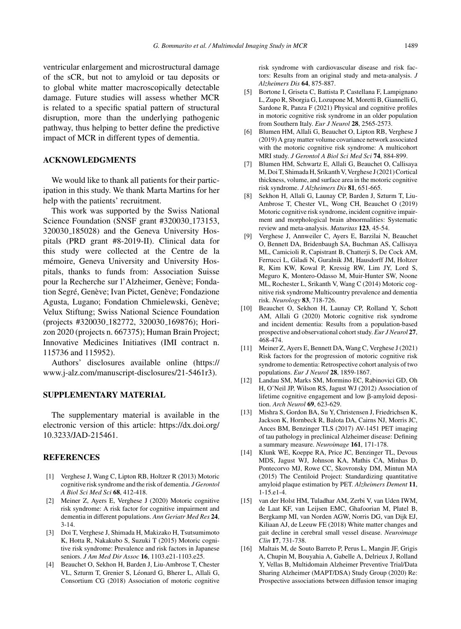ventricular enlargement and microstructural damage of the sCR, but not to amyloid or tau deposits or to global white matter macroscopically detectable damage. Future studies will assess whether MCR is related to a specific spatial pattern of structural disruption, more than the underlying pathogenic pathway, thus helping to better define the predictive impact of MCR in different types of dementia.

#### **ACKNOWLEDGMENTS**

We would like to thank all patients for their participation in this study. We thank Marta Martins for her help with the patients' recruitment.

This work was supported by the Swiss National Science Foundation (SNSF grant #320030<sub>-173153</sub>, 320030 185028) and the Geneva University Hospitals (PRD grant #8-2019-II). Clinical data for this study were collected at the Centre de la mémoire, Geneva University and University Hospitals, thanks to funds from: Association Suisse pour la Recherche sur l'Alzheimer, Genève; Fondation Segré, Genève; Ivan Pictet, Genève; Fondazione Agusta, Lugano; Fondation Chmielewski, Genève; Velux Stiftung; Swiss National Science Foundation (projects #320030 182772, 320030 169876); Horizon 2020 (projects n. 667375); Human Brain Project; Innovative Medicines Initiatives (IMI contract n. 115736 and 115952).

Authors' disclosures available online ([https://](https://www.j-alz.com/manuscript-disclosures/21-5461r3) [www.j-alz.com/manuscript-disclosures/21-5461r3\)](https://www.j-alz.com/manuscript-disclosures/21-5461r3).

#### **SUPPLEMENTARY MATERIAL**

The supplementary material is available in the electronic version of this article: [https://dx.doi.org/](https://dx.doi.org/10.3233/JAD-215461) [10.3233/JAD-215461.](https://dx.doi.org/10.3233/JAD-215461)

#### **REFERENCES**

- [1] Verghese J, Wang C, Lipton RB, Holtzer R (2013) Motoric cognitive risk syndrome and the risk of dementia. *J Gerontol A Biol Sci Med Sci* **68**, 412-418.
- [2] Meiner Z, Ayers E, Verghese J (2020) Motoric cognitive risk syndrome: A risk factor for cognitive impairment and dementia in different populations. *Ann Geriatr Med Res* **24**, 3-14.
- [3] Doi T, Verghese J, Shimada H, Makizako H, Tsutsumimoto K, Hotta R, Nakakubo S, Suzuki T (2015) Motoric cognitive risk syndrome: Prevalence and risk factors in Japanese seniors. *J Am Med Dir Assoc* **16**, 1103.e21-1103.e25.
- [4] Beauchet O, Sekhon H, Barden J, Liu-Ambrose T, Chester VL, Szturm T, Grenier S, Léonard G, Bherer L, Allali G, Consortium CG (2018) Association of motoric cognitive

risk syndrome with cardiovascular disease and risk factors: Results from an original study and meta-analysis. *J Alzheimers Dis* **64**, 875-887.

- [5] Bortone I, Griseta C, Battista P, Castellana F, Lampignano L, Zupo R, Sborgia G, Lozupone M, Moretti B, Giannelli G, Sardone R, Panza F (2021) Physical and cognitive profiles in motoric cognitive risk syndrome in an older population from Southern Italy. *Eur J Neurol* **28**, 2565-2573.
- [6] Blumen HM, Allali G, Beauchet O, Lipton RB, Verghese J (2019) A gray matter volume covariance network associated with the motoric cognitive risk syndrome: A multicohort MRI study. *J Gerontol A Biol Sci Med Sci* **74**, 884-899.
- [7] Blumen HM, Schwartz E, Allali G, Beauchet O, Callisaya M, Doi T, Shimada H, Srikanth V, Verghese J (2021) Cortical thickness, volume, and surface area in the motoric cognitive risk syndrome. *J Alzheimers Dis* **81**, 651-665.
- [8] Sekhon H, Allali G, Launay CP, Barden J, Szturm T, Liu-Ambrose T, Chester VL, Wong CH, Beauchet O (2019) Motoric cognitive risk syndrome, incident cognitive impairment and morphological brain abnormalities: Systematic review and meta-analysis. *Maturitas* **123**, 45-54.
- [9] Verghese J, Annweiler C, Ayers E, Barzilai N, Beauchet O, Bennett DA, Bridenbaugh SA, Buchman AS, Callisaya ML, Camicioli R, Capistrant B, Chatterji S, De Cock AM, Ferrucci L, Giladi N, Guralnik JM, Hausdorff JM, Holtzer R, Kim KW, Kowal P, Kressig RW, Lim JY, Lord S, Meguro K, Montero-Odasso M, Muir-Hunter SW, Noone ML, Rochester L, Srikanth V, Wang C (2014) Motoric cognitive risk syndrome Multicountry prevalence and dementia risk. *Neurology* **83**, 718-726.
- [10] Beauchet O, Sekhon H, Launay CP, Rolland Y, Schott AM, Allali G (2020) Motoric cognitive risk syndrome and incident dementia: Results from a population-based prospective and observational cohort study. *Eur J Neurol* **27**, 468-474.
- [11] Meiner Z, Ayers E, Bennett DA, Wang C, Verghese J (2021) Risk factors for the progression of motoric cognitive risk syndrome to dementia: Retrospective cohort analysis of two populations. *Eur J Neurol* **28**, 1859-1867.
- [12] Landau SM, Marks SM, Mormino EC, Rabinovici GD, Oh H, O'Neil JP, Wilson RS, Jagust WJ (2012) Association of lifetime cognitive engagement and low  $\beta$ -amyloid deposition. *Arch Neurol* **69**, 623-629.
- [13] Mishra S, Gordon BA, Su Y, Christensen J, Friedrichsen K, Jackson K, Hornbeck R, Balota DA, Cairns NJ, Morris JC, Ances BM, Benzinger TLS (2017) AV-1451 PET imaging of tau pathology in preclinical Alzheimer disease: Defining a summary measure. *Neuroimage* **161**, 171-178.
- [14] Klunk WE, Koeppe RA, Price JC, Benzinger TL, Devous MDS, Jagust WJ, Johnson KA, Mathis CA, Minhas D, Pontecorvo MJ, Rowe CC, Skovronsky DM, Mintun MA (2015) The Centiloid Project: Standardizing quantitative amyloid plaque estimation by PET. *Alzheimers Dement* **11**, 1-15.e1-4.
- [15] van der Holst HM, Tuladhar AM, Zerbi V, van Uden IWM, de Laat KF, van Leijsen EMC, Ghafoorian M, Platel B, Bergkamp MI, van Norden AGW, Norris DG, van Dijk EJ, Kiliaan AJ, de Leeuw FE (2018) White matter changes and gait decline in cerebral small vessel disease. *Neuroimage Clin* **17**, 731-738.
- [16] Maltais M, de Souto Barreto P, Perus L, Mangin JF, Grigis A, Chupin M, Bouyahia A, Gabelle A, Delrieux J, Rolland Y, Vellas B, Multidomain Alzheimer Preventive Trial/Data Sharing Alzheimer (MAPT/DSA) Study Group (2020) Re: Prospective associations between diffusion tensor imaging